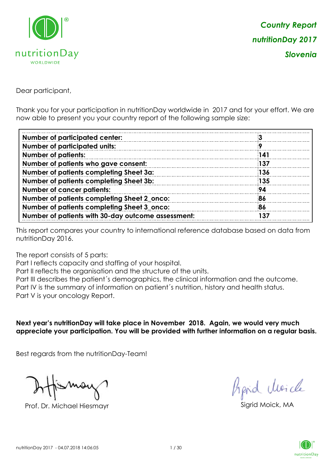

Dear participant,

Thank you for your participation in nutritionDay worldwide in 2017 and for your effort. We are now able to present you your country report of the following sample size:

| <b>Number of participated center:</b>              |            |
|----------------------------------------------------|------------|
| <b>Number of participated units:</b>               |            |
| <b>Number of patients:</b>                         | 141        |
| Number of patients who gave consent:               | <b>137</b> |
| Number of patients completing Sheet 3a:            | 136        |
| Number of patients completing Sheet 3b:            | <b>135</b> |
| <b>Number of cancer patients:</b>                  | 94         |
| Number of patients completing Sheet 2_onco:        | 86         |
| Number of patients completing Sheet 3_onco:        | 86         |
| Number of patients with 30-day outcome assessment: | 137        |
|                                                    |            |

This report compares your country to international reference database based on data from nutritionDay 2016.

The report consists of 5 parts:

Part I reflects capacity and staffing of your hospital.

Part II reflects the organisation and the structure of the units.

Part III describes the patient´s demographics, the clinical information and the outcome.

Part IV is the summary of information on patient´s nutrition, history and health status.

Part V is your oncology Report.

**Next year's nutritionDay will take place in November 2018. Again, we would very much appreciate your participation. You will be provided with further information on a regular basis.**

Best regards from the nutritionDay-Team!

Prof. Dr. Michael Hiesmayr Sigrid Moick, MA

fraid Moicle

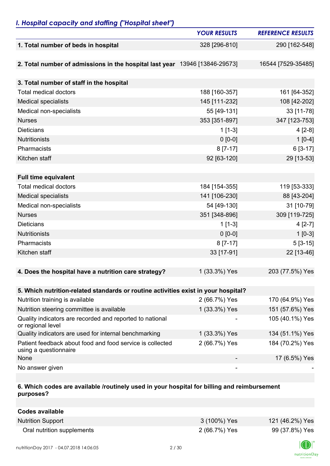## *I. Hospital capacity and staffing ("Hospital sheet")*

|                                                                                    | <b>YOUR RESULTS</b> | <b>REFERENCE RESULTS</b> |
|------------------------------------------------------------------------------------|---------------------|--------------------------|
| 1. Total number of beds in hospital                                                | 328 [296-810]       | 290 [162-548]            |
|                                                                                    |                     |                          |
| 2. Total number of admissions in the hospital last year 13946 [13846-29573]        |                     | 16544 [7529-35485]       |
|                                                                                    |                     |                          |
| 3. Total number of staff in the hospital                                           |                     |                          |
| <b>Total medical doctors</b>                                                       | 188 [160-357]       | 161 [64-352]             |
| <b>Medical specialists</b>                                                         | 145 [111-232]       | 108 [42-202]             |
| Medical non-specialists                                                            | 55 [49-131]         | 33 [11-78]               |
| <b>Nurses</b>                                                                      | 353 [351-897]       | 347 [123-753]            |
| <b>Dieticians</b>                                                                  | $1$ [1-3]           | $4[2-8]$                 |
| <b>Nutritionists</b>                                                               | $0 [0-0]$           | $1[0-4]$                 |
| Pharmacists                                                                        | $8[7-17]$           | 6 [3-17]                 |
| Kitchen staff                                                                      | 92 [63-120]         | 29 [13-53]               |
|                                                                                    |                     |                          |
| <b>Full time equivalent</b>                                                        |                     |                          |
| <b>Total medical doctors</b>                                                       | 184 [154-355]       | 119 [53-333]             |
| <b>Medical specialists</b>                                                         | 141 [106-230]       | 88 [43-204]              |
| Medical non-specialists                                                            | 54 [49-130]         | 31 [10-79]               |
| <b>Nurses</b>                                                                      | 351 [348-896]       | 309 [119-725]            |
| <b>Dieticians</b>                                                                  | $1[1-3]$            | $4[2-7]$                 |
| <b>Nutritionists</b>                                                               | $0 [0-0]$           | $1 [0-3]$                |
| Pharmacists                                                                        | $8[7-17]$           | $5[3-15]$                |
| Kitchen staff                                                                      | 33 [17-91]          | 22 [13-46]               |
|                                                                                    |                     |                          |
| 4. Does the hospital have a nutrition care strategy?                               | 1 (33.3%) Yes       | 203 (77.5%) Yes          |
|                                                                                    |                     |                          |
| 5. Which nutrition-related standards or routine activities exist in your hospital? |                     |                          |
| Nutrition training is available                                                    | 2 (66.7%) Yes       | 170 (64.9%) Yes          |
| Nutrition steering committee is available                                          | 1 (33.3%) Yes       | 151 (57.6%) Yes          |
| Quality indicators are recorded and reported to national<br>or regional level      |                     | 105 (40.1%) Yes          |
| Quality indicators are used for internal benchmarking                              | 1 (33.3%) Yes       | 134 (51.1%) Yes          |
| Patient feedback about food and food service is collected<br>using a questionnaire | 2 (66.7%) Yes       | 184 (70.2%) Yes          |
| None                                                                               |                     | 17 (6.5%) Yes            |
| No answer given                                                                    |                     |                          |

### **6. Which codes are available /routinely used in your hospital for billing and reimbursement purposes?**

| Codes available            |               |                 |
|----------------------------|---------------|-----------------|
| <b>Nutrition Support</b>   | 3 (100%) Yes  | 121 (46.2%) Yes |
| Oral nutrition supplements | 2 (66.7%) Yes | 99 (37.8%) Yes  |

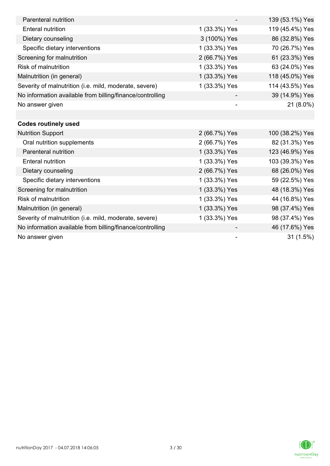| Parenteral nutrition                                      |               | 139 (53.1%) Yes |
|-----------------------------------------------------------|---------------|-----------------|
| <b>Enteral nutrition</b>                                  | 1 (33.3%) Yes | 119 (45.4%) Yes |
| Dietary counseling                                        | 3 (100%) Yes  | 86 (32.8%) Yes  |
| Specific dietary interventions                            | 1 (33.3%) Yes | 70 (26.7%) Yes  |
| Screening for malnutrition                                | 2 (66.7%) Yes | 61 (23.3%) Yes  |
| <b>Risk of malnutrition</b>                               | 1 (33.3%) Yes | 63 (24.0%) Yes  |
| Malnutrition (in general)                                 | 1 (33.3%) Yes | 118 (45.0%) Yes |
| Severity of malnutrition (i.e. mild, moderate, severe)    | 1 (33.3%) Yes | 114 (43.5%) Yes |
| No information available from billing/finance/controlling |               | 39 (14.9%) Yes  |
| No answer given                                           |               | 21 (8.0%)       |
|                                                           |               |                 |
| <b>Codes routinely used</b>                               |               |                 |
| <b>Nutrition Support</b>                                  | 2 (66.7%) Yes | 100 (38.2%) Yes |
| Oral nutrition supplements                                | 2 (66.7%) Yes | 82 (31.3%) Yes  |
| Parenteral nutrition                                      | 1 (33.3%) Yes | 123 (46.9%) Yes |
| <b>Enteral nutrition</b>                                  | 1 (33.3%) Yes | 103 (39.3%) Yes |
| Dietary counseling                                        | 2 (66.7%) Yes | 68 (26.0%) Yes  |
| Specific dietary interventions                            | 1 (33.3%) Yes | 59 (22.5%) Yes  |
| Screening for malnutrition                                | 1 (33.3%) Yes | 48 (18.3%) Yes  |
| <b>Risk of malnutrition</b>                               | 1 (33.3%) Yes | 44 (16.8%) Yes  |
| Malnutrition (in general)                                 | 1 (33.3%) Yes | 98 (37.4%) Yes  |
| Severity of malnutrition (i.e. mild, moderate, severe)    | 1 (33.3%) Yes | 98 (37.4%) Yes  |
| No information available from billing/finance/controlling |               | 46 (17.6%) Yes  |
| No answer given                                           |               | 31(1.5%)        |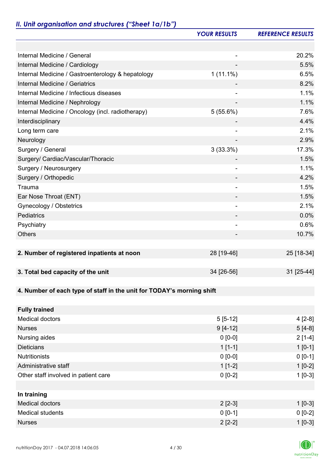# *II. Unit organisation and structures ("Sheet 1a/1b")*

|                                                                       | <b>YOUR RESULTS</b>      | <b>REFERENCE RESULTS</b> |
|-----------------------------------------------------------------------|--------------------------|--------------------------|
|                                                                       |                          |                          |
| Internal Medicine / General                                           |                          | 20.2%                    |
| Internal Medicine / Cardiology                                        |                          | 5.5%                     |
| Internal Medicine / Gastroenterology & hepatology                     | $1(11.1\%)$              | 6.5%                     |
| <b>Internal Medicine / Geriatrics</b>                                 |                          | 8.2%                     |
| Internal Medicine / Infectious diseases                               |                          | 1.1%                     |
| Internal Medicine / Nephrology                                        |                          | 1.1%                     |
| Internal Medicine / Oncology (incl. radiotherapy)                     | 5(55.6%)                 | 7.6%                     |
| Interdisciplinary                                                     |                          | 4.4%                     |
| Long term care                                                        | $\overline{\phantom{a}}$ | 2.1%                     |
| Neurology                                                             |                          | 2.9%                     |
| Surgery / General                                                     | 3(33.3%)                 | 17.3%                    |
| Surgery/ Cardiac/Vascular/Thoracic                                    |                          | 1.5%                     |
| Surgery / Neurosurgery                                                | $\overline{\phantom{0}}$ | 1.1%                     |
| Surgery / Orthopedic                                                  |                          | 4.2%                     |
| Trauma                                                                | $\overline{\phantom{a}}$ | 1.5%                     |
| Ear Nose Throat (ENT)                                                 |                          | 1.5%                     |
| Gynecology / Obstetrics                                               |                          | 2.1%                     |
| Pediatrics                                                            |                          | 0.0%                     |
| Psychiatry                                                            | -                        | 0.6%                     |
| <b>Others</b>                                                         |                          | 10.7%                    |
|                                                                       |                          |                          |
| 2. Number of registered inpatients at noon                            | 28 [19-46]               | 25 [18-34]               |
|                                                                       |                          |                          |
| 3. Total bed capacity of the unit                                     | 34 [26-56]               | 31 [25-44]               |
|                                                                       |                          |                          |
| 4. Number of each type of staff in the unit for TODAY's morning shift |                          |                          |
|                                                                       |                          |                          |
| <b>Fully trained</b>                                                  |                          |                          |
| <b>Medical doctors</b>                                                | $5[5-12]$                | $4[2-8]$                 |
| <b>Nurses</b>                                                         | $9[4-12]$                | $5[4-8]$                 |
| Nursing aides                                                         | $0 [0-0]$                | $2[1-4]$                 |
| <b>Dieticians</b>                                                     | $1[1-1]$                 | $1[0-1]$                 |
| <b>Nutritionists</b>                                                  | $0 [0-0]$                | $0 [0-1]$                |
| Administrative staff                                                  | $1[1-2]$                 | $1[0-2]$                 |
| Other staff involved in patient care                                  | $0 [0-2]$                | $1[0-3]$                 |
|                                                                       |                          |                          |
| In training                                                           |                          |                          |
| <b>Medical doctors</b>                                                | $2$ [2-3]                | $1[0-3]$                 |
| <b>Medical students</b>                                               | $0 [0-1]$                | $0[0-2]$                 |
| <b>Nurses</b>                                                         | $2[2-2]$                 | $1[0-3]$                 |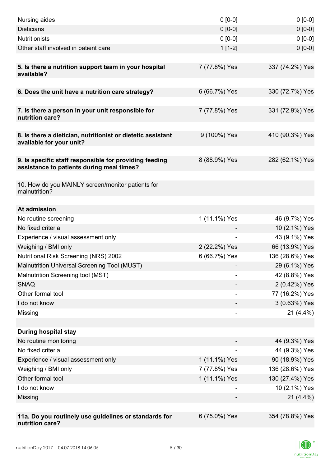| Nursing aides                                                                           | $0 [0-0]$     | $0[0-0]$        |
|-----------------------------------------------------------------------------------------|---------------|-----------------|
| <b>Dieticians</b>                                                                       | $0 [0-0]$     | $0 [0-0]$       |
| <b>Nutritionists</b>                                                                    | $0 [0-0]$     | $0 [0-0]$       |
| Other staff involved in patient care                                                    | $1[1-2]$      | $0 [0-0]$       |
|                                                                                         |               |                 |
| 5. Is there a nutrition support team in your hospital<br>available?                     | 7 (77.8%) Yes | 337 (74.2%) Yes |
| 6. Does the unit have a nutrition care strategy?                                        | 6 (66.7%) Yes | 330 (72.7%) Yes |
|                                                                                         |               |                 |
| 7. Is there a person in your unit responsible for<br>nutrition care?                    | 7 (77.8%) Yes | 331 (72.9%) Yes |
| 8. Is there a dietician, nutritionist or dietetic assistant<br>available for your unit? | 9 (100%) Yes  | 410 (90.3%) Yes |
| 9. Is specific staff responsible for providing feeding                                  | 8 (88.9%) Yes | 282 (62.1%) Yes |
| assistance to patients during meal times?                                               |               |                 |
| 10. How do you MAINLY screen/monitor patients for<br>malnutrition?                      |               |                 |
| At admission                                                                            |               |                 |
| No routine screening                                                                    | 1 (11.1%) Yes | 46 (9.7%) Yes   |
| No fixed criteria                                                                       |               | 10 (2.1%) Yes   |
| Experience / visual assessment only                                                     |               | 43 (9.1%) Yes   |
| Weighing / BMI only                                                                     | 2 (22.2%) Yes | 66 (13.9%) Yes  |
| <b>Nutritional Risk Screening (NRS) 2002</b>                                            | 6 (66.7%) Yes | 136 (28.6%) Yes |
| Malnutrition Universal Screening Tool (MUST)                                            |               | 29 (6.1%) Yes   |
| Malnutrition Screening tool (MST)                                                       |               | 42 (8.8%) Yes   |
| <b>SNAQ</b>                                                                             |               | 2 (0.42%) Yes   |
| Other formal tool                                                                       |               | 77 (16.2%) Yes  |
| I do not know                                                                           |               | 3 (0.63%) Yes   |
| Missing                                                                                 |               | $21(4.4\%)$     |
|                                                                                         |               |                 |
| <b>During hospital stay</b>                                                             |               |                 |
| No routine monitoring                                                                   |               | 44 (9.3%) Yes   |
| No fixed criteria                                                                       |               | 44 (9.3%) Yes   |
| Experience / visual assessment only                                                     | 1 (11.1%) Yes | 90 (18.9%) Yes  |
| Weighing / BMI only                                                                     | 7 (77.8%) Yes | 136 (28.6%) Yes |
| Other formal tool                                                                       | 1 (11.1%) Yes | 130 (27.4%) Yes |
| I do not know                                                                           |               | 10 (2.1%) Yes   |
| Missing                                                                                 |               | $21(4.4\%)$     |
|                                                                                         |               |                 |
| 11a. Do you routinely use guidelines or standards for<br>nutrition care?                | 6 (75.0%) Yes | 354 (78.8%) Yes |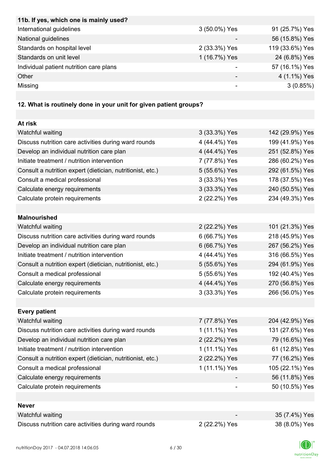| International guidelines<br>91 (25.7%) Yes<br>3 (50.0%) Yes<br>56 (15.8%) Yes<br>National guidelines<br>119 (33.6%) Yes<br>Standards on hospital level<br>2 (33.3%) Yes<br>24 (6.8%) Yes<br>Standards on unit level<br>1 (16.7%) Yes |
|--------------------------------------------------------------------------------------------------------------------------------------------------------------------------------------------------------------------------------------|
|                                                                                                                                                                                                                                      |
|                                                                                                                                                                                                                                      |
|                                                                                                                                                                                                                                      |
|                                                                                                                                                                                                                                      |
| 57 (16.1%) Yes<br>Individual patient nutrition care plans                                                                                                                                                                            |
| 4 (1.1%) Yes<br>Other<br>-                                                                                                                                                                                                           |
| Missing<br>3(0.85%)<br>-                                                                                                                                                                                                             |

# **12. What is routinely done in your unit for given patient groups?**

| At risk                                                    |               |                 |
|------------------------------------------------------------|---------------|-----------------|
| Watchful waiting                                           | 3 (33.3%) Yes | 142 (29.9%) Yes |
| Discuss nutrition care activities during ward rounds       | 4 (44.4%) Yes | 199 (41.9%) Yes |
| Develop an individual nutrition care plan                  | 4 (44.4%) Yes | 251 (52.8%) Yes |
| Initiate treatment / nutrition intervention                | 7 (77.8%) Yes | 286 (60.2%) Yes |
| Consult a nutrition expert (dietician, nutritionist, etc.) | 5 (55.6%) Yes | 292 (61.5%) Yes |
| Consult a medical professional                             | 3 (33.3%) Yes | 178 (37.5%) Yes |
| Calculate energy requirements                              | 3 (33.3%) Yes | 240 (50.5%) Yes |
| Calculate protein requirements                             | 2 (22.2%) Yes | 234 (49.3%) Yes |
|                                                            |               |                 |
| <b>Malnourished</b>                                        |               |                 |
| Watchful waiting                                           | 2 (22.2%) Yes | 101 (21.3%) Yes |
| Discuss nutrition care activities during ward rounds       | 6 (66.7%) Yes | 218 (45.9%) Yes |
| Develop an individual nutrition care plan                  | 6 (66.7%) Yes | 267 (56.2%) Yes |
| Initiate treatment / nutrition intervention                | 4 (44.4%) Yes | 316 (66.5%) Yes |
| Consult a nutrition expert (dietician, nutritionist, etc.) | 5 (55.6%) Yes | 294 (61.9%) Yes |
| Consult a medical professional                             | 5 (55.6%) Yes | 192 (40.4%) Yes |
| Calculate energy requirements                              | 4 (44.4%) Yes | 270 (56.8%) Yes |
| Calculate protein requirements                             | 3 (33.3%) Yes | 266 (56.0%) Yes |
|                                                            |               |                 |
| <b>Every patient</b>                                       |               |                 |
| Watchful waiting                                           | 7 (77.8%) Yes | 204 (42.9%) Yes |
| Discuss nutrition care activities during ward rounds       | 1 (11.1%) Yes | 131 (27.6%) Yes |
| Develop an individual nutrition care plan                  | 2 (22.2%) Yes | 79 (16.6%) Yes  |
| Initiate treatment / nutrition intervention                | 1 (11.1%) Yes | 61 (12.8%) Yes  |
| Consult a nutrition expert (dietician, nutritionist, etc.) | 2 (22.2%) Yes | 77 (16.2%) Yes  |
| Consult a medical professional                             | 1 (11.1%) Yes | 105 (22.1%) Yes |
| Calculate energy requirements                              |               | 56 (11.8%) Yes  |
| Calculate protein requirements                             |               | 50 (10.5%) Yes  |
|                                                            |               |                 |
| <b>Never</b>                                               |               |                 |
| Watchful waiting                                           |               | 35 (7.4%) Yes   |
| Discuss nutrition care activities during ward rounds       | 2 (22.2%) Yes | 38 (8.0%) Yes   |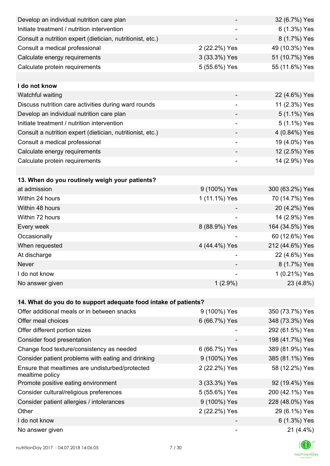| Develop an individual nutrition care plan                          |                              | 32 (6.7%) Yes   |
|--------------------------------------------------------------------|------------------------------|-----------------|
| Initiate treatment / nutrition intervention                        |                              | 6 (1.3%) Yes    |
| Consult a nutrition expert (dietician, nutritionist, etc.)         |                              | 8 (1.7%) Yes    |
| Consult a medical professional                                     | 2 (22.2%) Yes                | 49 (10.3%) Yes  |
| Calculate energy requirements                                      | 3 (33.3%) Yes                | 51 (10.7%) Yes  |
| Calculate protein requirements                                     | 5 (55.6%) Yes                | 55 (11.6%) Yes  |
|                                                                    |                              |                 |
| I do not know                                                      |                              |                 |
| Watchful waiting                                                   |                              | 22 (4.6%) Yes   |
| Discuss nutrition care activities during ward rounds               |                              | 11 (2.3%) Yes   |
| Develop an individual nutrition care plan                          |                              | 5 (1.1%) Yes    |
| Initiate treatment / nutrition intervention                        | $\qquad \qquad \blacksquare$ | 5 (1.1%) Yes    |
| Consult a nutrition expert (dietician, nutritionist, etc.)         |                              | 4 (0.84%) Yes   |
| Consult a medical professional                                     | $\overline{\phantom{a}}$     | 19 (4.0%) Yes   |
| Calculate energy requirements                                      |                              | 12 (2.5%) Yes   |
| Calculate protein requirements                                     | ۰                            | 14 (2.9%) Yes   |
|                                                                    |                              |                 |
| 13. When do you routinely weigh your patients?                     |                              |                 |
| at admission                                                       | 9 (100%) Yes                 | 300 (63.2%) Yes |
| Within 24 hours                                                    | 1 (11.1%) Yes                | 70 (14.7%) Yes  |
| Within 48 hours                                                    |                              | 20 (4.2%) Yes   |
| Within 72 hours                                                    |                              | 14 (2.9%) Yes   |
| Every week                                                         | 8 (88.9%) Yes                | 164 (34.5%) Yes |
| Occasionally                                                       |                              | 60 (12.6%) Yes  |
| When requested                                                     | 4 (44.4%) Yes                | 212 (44.6%) Yes |
| At discharge                                                       |                              | 22 (4.6%) Yes   |
| Never                                                              |                              | 8 (1.7%) Yes    |
| I do not know                                                      |                              | 1 (0.21%) Yes   |
| No answer given                                                    | $1(2.9\%)$                   | 23 (4.8%)       |
|                                                                    |                              |                 |
| 14. What do you do to support adequate food intake of patients?    |                              |                 |
| Offer additional meals or in between snacks                        | 9 (100%) Yes                 | 350 (73.7%) Yes |
| Offer meal choices                                                 | 6 (66.7%) Yes                | 348 (73.3%) Yes |
| Offer different portion sizes                                      |                              | 292 (61.5%) Yes |
| Consider food presentation                                         |                              | 198 (41.7%) Yes |
| Change food texture/consistency as needed                          | 6 (66.7%) Yes                | 389 (81.9%) Yes |
| Consider patient problems with eating and drinking                 | 9 (100%) Yes                 | 385 (81.1%) Yes |
| Ensure that mealtimes are undisturbed/protected<br>mealtime policy | 2 (22.2%) Yes                | 58 (12.2%) Yes  |
| Promote positive eating environment                                | 3 (33.3%) Yes                | 92 (19.4%) Yes  |
| Consider cultural/religious preferences                            | 5 (55.6%) Yes                | 200 (42.1%) Yes |
| Consider patient allergies / intolerances                          | 9 (100%) Yes                 | 228 (48.0%) Yes |
| Other                                                              | 2 (22.2%) Yes                | 29 (6.1%) Yes   |
| I do not know                                                      |                              | 6 (1.3%) Yes    |
| No answer given                                                    |                              | $21(4.4\%)$     |

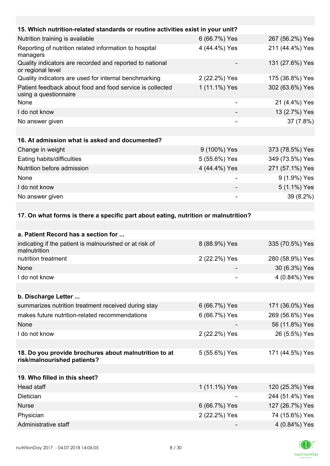| 15. Which nutrition-related standards or routine activities exist in your unit?     |                  |                   |
|-------------------------------------------------------------------------------------|------------------|-------------------|
| Nutrition training is available                                                     | 6 (66.7%) Yes    | 267 (56.2%) Yes   |
| Reporting of nutrition related information to hospital<br>managers                  | 4 (44.4%) Yes    | 211 (44.4%) Yes   |
| Quality indicators are recorded and reported to national<br>or regional level       |                  | 131 (27.6%) Yes   |
| Quality indicators are used for internal benchmarking                               | 2 (22.2%) Yes    | 175 (36.8%) Yes   |
| Patient feedback about food and food service is collected<br>using a questionnaire  | 1 (11.1%) Yes    | 302 (63.6%) Yes   |
| None                                                                                |                  | 21 (4.4%) Yes     |
| I do not know                                                                       |                  | 13 (2.7%) Yes     |
| No answer given                                                                     |                  | 37 (7.8%)         |
|                                                                                     |                  |                   |
| 16. At admission what is asked and documented?                                      |                  |                   |
| Change in weight                                                                    | 9 (100%) Yes     | 373 (78.5%) Yes   |
| Eating habits/difficulties                                                          | 5 (55.6%) Yes    | 349 (73.5%) Yes   |
| Nutrition before admission                                                          | 4 (44.4%) Yes    | 271 (57.1%) Yes   |
| None                                                                                | -                | 9 (1.9%) Yes      |
| I do not know                                                                       |                  | 5 (1.1%) Yes      |
| No answer given                                                                     |                  | 39 (8.2%)         |
|                                                                                     |                  |                   |
| 17. On what forms is there a specific part about eating, nutrition or malnutrition? |                  |                   |
|                                                                                     |                  |                   |
| a. Patient Record has a section for                                                 |                  |                   |
| indicating if the patient is malnourished or at risk of                             | $Q(9900)/V_{00}$ | $225/70.50/1$ Voc |

| indicating if the patient is malnourished or at risk of<br>malnutrition              | 8 (88.9%) Yes | 335 (70.5%) Yes |
|--------------------------------------------------------------------------------------|---------------|-----------------|
| nutrition treatment                                                                  | 2 (22.2%) Yes | 280 (58.9%) Yes |
| None                                                                                 |               | 30 (6.3%) Yes   |
| I do not know                                                                        |               | 4 (0.84%) Yes   |
|                                                                                      |               |                 |
| b. Discharge Letter                                                                  |               |                 |
| summarizes nutrition treatment received during stay                                  | 6 (66.7%) Yes | 171 (36.0%) Yes |
| makes future nutrition-related recommendations                                       | 6 (66.7%) Yes | 269 (56.6%) Yes |
| None                                                                                 |               | 56 (11.8%) Yes  |
| I do not know                                                                        | 2 (22.2%) Yes | 26 (5.5%) Yes   |
|                                                                                      |               |                 |
| 18. Do you provide brochures about malnutrition to at<br>risk/malnourished patients? | 5 (55.6%) Yes | 171 (44.5%) Yes |
|                                                                                      |               |                 |
| 19. Who filled in this sheet?                                                        |               |                 |
| Head staff                                                                           | 1 (11.1%) Yes | 120 (25.3%) Yes |
| Dietician                                                                            |               | 244 (51.4%) Yes |
| <b>Nurse</b>                                                                         | 6 (66.7%) Yes | 127 (26.7%) Yes |
| Physician                                                                            | 2 (22.2%) Yes | 74 (15.6%) Yes  |
| Administrative staff                                                                 |               | 4 (0.84%) Yes   |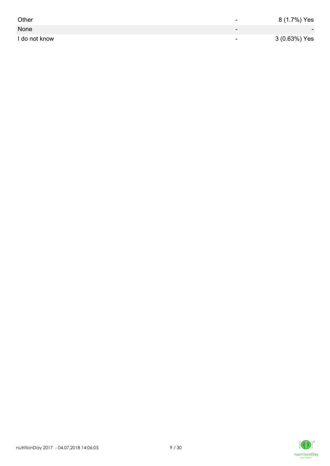| Other         | -                        | 8 (1.7%) Yes             |
|---------------|--------------------------|--------------------------|
| None          | $\overline{\phantom{0}}$ | $\overline{\phantom{0}}$ |
| I do not know | $\overline{\phantom{0}}$ | 3 (0.63%) Yes            |

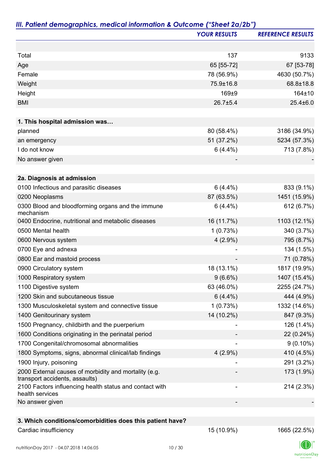|                                                                                         | <b>YOUR RESULTS</b> | <b>REFERENCE RESULTS</b> |
|-----------------------------------------------------------------------------------------|---------------------|--------------------------|
|                                                                                         |                     |                          |
| Total                                                                                   | 137                 | 9133                     |
| Age                                                                                     | 65 [55-72]          | 67 [53-78]               |
| Female                                                                                  | 78 (56.9%)          | 4630 (50.7%)             |
| Weight                                                                                  | 75.9±16.8           | 68.8±18.8                |
| Height                                                                                  | 169±9               | 164±10                   |
| <b>BMI</b>                                                                              | $26.7 \pm 5.4$      | $25.4 \pm 6.0$           |
|                                                                                         |                     |                          |
| 1. This hospital admission was                                                          |                     |                          |
| planned                                                                                 | 80 (58.4%)          | 3186 (34.9%)             |
| an emergency                                                                            | 51 (37.2%)          | 5234 (57.3%)             |
| I do not know                                                                           | $6(4.4\%)$          | 713 (7.8%)               |
| No answer given                                                                         |                     |                          |
| 2a. Diagnosis at admission                                                              |                     |                          |
| 0100 Infectious and parasitic diseases                                                  | $6(4.4\%)$          | 833 (9.1%)               |
| 0200 Neoplasms                                                                          | 87 (63.5%)          | 1451 (15.9%)             |
| 0300 Blood and bloodforming organs and the immune<br>mechanism                          | $6(4.4\%)$          | 612 (6.7%)               |
| 0400 Endocrine, nutritional and metabolic diseases                                      | 16 (11.7%)          | 1103 (12.1%)             |
| 0500 Mental health                                                                      | 1(0.73%)            | 340 (3.7%)               |
| 0600 Nervous system                                                                     | $4(2.9\%)$          | 795 (8.7%)               |
| 0700 Eye and adnexa                                                                     |                     | 134 (1.5%)               |
| 0800 Ear and mastoid process                                                            |                     | 71 (0.78%)               |
| 0900 Circulatory system                                                                 | 18 (13.1%)          | 1817 (19.9%)             |
| 1000 Respiratory system                                                                 | $9(6.6\%)$          | 1407 (15.4%)             |
| 1100 Digestive system                                                                   | 63 (46.0%)          | 2255 (24.7%)             |
| 1200 Skin and subcutaneous tissue                                                       | $6(4.4\%)$          | 444 (4.9%)               |
| 1300 Musculoskeletal system and connective tissue                                       | 1(0.73%)            | 1332 (14.6%)             |
| 1400 Genitourinary system                                                               | 14 (10.2%)          | 847 (9.3%)               |
| 1500 Pregnancy, childbirth and the puerperium                                           |                     | 126 (1.4%)               |
| 1600 Conditions originating in the perinatal period                                     |                     | 22 (0.24%)               |
| 1700 Congenital/chromosomal abnormalities                                               |                     | $9(0.10\%)$              |
| 1800 Symptoms, signs, abnormal clinical/lab findings                                    | $4(2.9\%)$          | 410 (4.5%)               |
| 1900 Injury, poisoning                                                                  |                     | 291 (3.2%)               |
| 2000 External causes of morbidity and mortality (e.g.<br>transport accidents, assaults) |                     | 173 (1.9%)               |
| 2100 Factors influencing health status and contact with<br>health services              |                     | 214 (2.3%)               |
| No answer given                                                                         |                     |                          |
| 3. Which conditions/comorbidities does this patient have?                               |                     |                          |

## Cardiac insufficiency 2.5%) 1665 (22.5%)

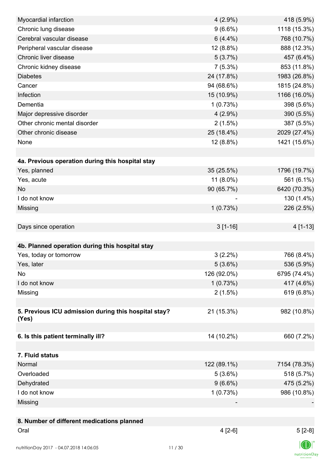| Myocardial infarction                                | $4(2.9\%)$  | 418 (5.9%)   |
|------------------------------------------------------|-------------|--------------|
| Chronic lung disease                                 | $9(6.6\%)$  | 1118 (15.3%) |
| Cerebral vascular disease                            | $6(4.4\%)$  | 768 (10.7%)  |
| Peripheral vascular disease                          | 12 (8.8%)   | 888 (12.3%)  |
| Chronic liver disease                                | 5(3.7%)     | 457 (6.4%)   |
| Chronic kidney disease                               | $7(5.3\%)$  | 853 (11.8%)  |
| <b>Diabetes</b>                                      | 24 (17.8%)  | 1983 (26.8%) |
| Cancer                                               | 94 (68.6%)  | 1815 (24.8%) |
| Infection                                            | 15 (10.9%)  | 1166 (16.0%) |
| Dementia                                             | 1(0.73%)    | 398 (5.6%)   |
| Major depressive disorder                            | $4(2.9\%)$  | 390 (5.5%)   |
| Other chronic mental disorder                        | 2(1.5%)     | 387 (5.5%)   |
| Other chronic disease                                | 25 (18.4%)  | 2029 (27.4%) |
| None                                                 | 12 (8.8%)   | 1421 (15.6%) |
|                                                      |             |              |
| 4a. Previous operation during this hospital stay     |             |              |
| Yes, planned                                         | 35 (25.5%)  | 1796 (19.7%) |
| Yes, acute                                           | 11 (8.0%)   | 561 (6.1%)   |
| <b>No</b>                                            | 90 (65.7%)  | 6420 (70.3%) |
| I do not know                                        |             | 130 (1.4%)   |
| Missing                                              | 1(0.73%)    | 226 (2.5%)   |
|                                                      |             |              |
| Days since operation                                 | $3[1-16]$   | $4[1-13]$    |
|                                                      |             |              |
| 4b. Planned operation during this hospital stay      |             |              |
| Yes, today or tomorrow                               | $3(2.2\%)$  | 766 (8.4%)   |
| Yes, later                                           | 5(3.6%)     | 536 (5.9%)   |
| No                                                   | 126 (92.0%) | 6795 (74.4%) |
| I do not know                                        | 1(0.73%)    | 417 (4.6%)   |
| Missing                                              | $2(1.5\%)$  | 619 (6.8%)   |
|                                                      |             |              |
| 5. Previous ICU admission during this hospital stay? | 21 (15.3%)  | 982 (10.8%)  |
| (Yes)                                                |             |              |
|                                                      |             |              |
| 6. Is this patient terminally ill?                   | 14 (10.2%)  | 660 (7.2%)   |
|                                                      |             |              |
| 7. Fluid status                                      |             |              |
| Normal                                               | 122 (89.1%) | 7154 (78.3%) |
| Overloaded                                           | 5(3.6%)     | 518 (5.7%)   |
| Dehydrated                                           | $9(6.6\%)$  | 475 (5.2%)   |
| I do not know                                        | 1(0.73%)    | 986 (10.8%)  |
| Missing                                              |             |              |
|                                                      |             |              |
| 8. Number of different medications planned           |             |              |
| Oral                                                 | $4[2-6]$    | $5[2-8]$     |
|                                                      |             |              |
|                                                      |             |              |

 $\textsf{nutritionDay}$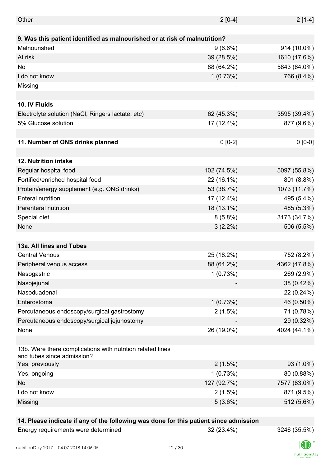| Other                                                                                    | $2 [0-4]$   | $2[1-4]$     |
|------------------------------------------------------------------------------------------|-------------|--------------|
|                                                                                          |             |              |
| 9. Was this patient identified as malnourished or at risk of malnutrition?               |             |              |
| Malnourished                                                                             | $9(6.6\%)$  | 914 (10.0%)  |
| At risk                                                                                  | 39 (28.5%)  | 1610 (17.6%) |
| <b>No</b>                                                                                | 88 (64.2%)  | 5843 (64.0%) |
| I do not know                                                                            | 1(0.73%)    | 766 (8.4%)   |
| Missing                                                                                  |             |              |
|                                                                                          |             |              |
| 10. IV Fluids                                                                            |             |              |
| Electrolyte solution (NaCl, Ringers lactate, etc)                                        | 62 (45.3%)  | 3595 (39.4%) |
| 5% Glucose solution                                                                      | 17 (12.4%)  | 877 (9.6%)   |
|                                                                                          |             |              |
| 11. Number of ONS drinks planned                                                         | $0 [0-2]$   | $0 [0-0]$    |
|                                                                                          |             |              |
| <b>12. Nutrition intake</b>                                                              |             |              |
| Regular hospital food                                                                    | 102 (74.5%) | 5097 (55.8%) |
| Fortified/enriched hospital food                                                         | 22 (16.1%)  | 801 (8.8%)   |
| Protein/energy supplement (e.g. ONS drinks)                                              | 53 (38.7%)  | 1073 (11.7%) |
| <b>Enteral nutrition</b>                                                                 | 17 (12.4%)  | 495 (5.4%)   |
| Parenteral nutrition                                                                     | 18 (13.1%)  | 485 (5.3%)   |
| Special diet                                                                             | $8(5.8\%)$  | 3173 (34.7%) |
| None                                                                                     | $3(2.2\%)$  | 506 (5.5%)   |
|                                                                                          |             |              |
| 13a. All lines and Tubes                                                                 |             |              |
| <b>Central Venous</b>                                                                    | 25 (18.2%)  | 752 (8.2%)   |
|                                                                                          |             |              |
| Peripheral venous access                                                                 | 88 (64.2%)  | 4362 (47.8%) |
| Nasogastric                                                                              | 1(0.73%)    | 269 (2.9%)   |
| Nasojejunal                                                                              |             | 38 (0.42%)   |
| Nasoduadenal                                                                             |             | 22 (0.24%)   |
| Enterostoma                                                                              | 1(0.73%)    | 46 (0.50%)   |
| Percutaneous endoscopy/surgical gastrostomy                                              | 2(1.5%)     | 71 (0.78%)   |
| Percutaneous endoscopy/surgical jejunostomy                                              |             | 29 (0.32%)   |
| None                                                                                     | 26 (19.0%)  | 4024 (44.1%) |
|                                                                                          |             |              |
| 13b. Were there complications with nutrition related lines<br>and tubes since admission? |             |              |
| Yes, previously                                                                          | 2(1.5%)     | 93 (1.0%)    |
| Yes, ongoing                                                                             | 1(0.73%)    | 80 (0.88%)   |
| No                                                                                       | 127 (92.7%) | 7577 (83.0%) |
| I do not know                                                                            | 2(1.5%)     | 871 (9.5%)   |
| Missing                                                                                  | 5(3.6%)     | 512 (5.6%)   |
|                                                                                          |             |              |

### **14. Please indicate if any of the following was done for this patient since admission**

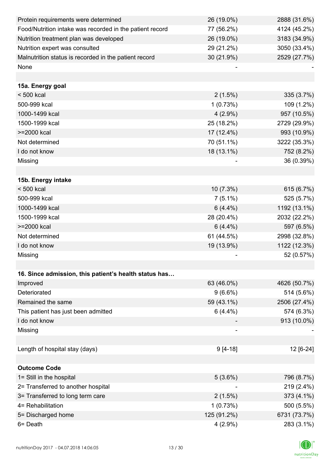| Protein requirements were determined                     | 26 (19.0%)  | 2888 (31.6%) |
|----------------------------------------------------------|-------------|--------------|
| Food/Nutrition intake was recorded in the patient record | 77 (56.2%)  | 4124 (45.2%) |
| Nutrition treatment plan was developed                   | 26 (19.0%)  | 3183 (34.9%) |
| Nutrition expert was consulted                           | 29 (21.2%)  | 3050 (33.4%) |
| Malnutrition status is recorded in the patient record    | 30 (21.9%)  | 2529 (27.7%) |
| None                                                     |             |              |
|                                                          |             |              |
| 15a. Energy goal                                         |             |              |
| $< 500$ kcal                                             | $2(1.5\%)$  | 335 (3.7%)   |
| 500-999 kcal                                             | 1(0.73%)    | 109 (1.2%)   |
| 1000-1499 kcal                                           | $4(2.9\%)$  | 957 (10.5%)  |
| 1500-1999 kcal                                           | 25 (18.2%)  | 2729 (29.9%) |
| >=2000 kcal                                              | 17 (12.4%)  | 993 (10.9%)  |
| Not determined                                           | 70 (51.1%)  | 3222 (35.3%) |
| I do not know                                            | 18 (13.1%)  | 752 (8.2%)   |
| Missing                                                  |             | 36 (0.39%)   |
|                                                          |             |              |
| 15b. Energy intake                                       |             |              |
| $< 500$ kcal                                             | $10(7.3\%)$ | 615 (6.7%)   |
| 500-999 kcal                                             | $7(5.1\%)$  | 525 (5.7%)   |
| 1000-1499 kcal                                           | $6(4.4\%)$  | 1192 (13.1%) |
| 1500-1999 kcal                                           | 28 (20.4%)  | 2032 (22.2%) |
| >=2000 kcal                                              | $6(4.4\%)$  | 597 (6.5%)   |
| Not determined                                           | 61 (44.5%)  | 2998 (32.8%) |
| I do not know                                            | 19 (13.9%)  | 1122 (12.3%) |
| Missing                                                  |             | 52 (0.57%)   |
|                                                          |             |              |
| 16. Since admission, this patient's health status has    |             |              |
| Improved                                                 | 63 (46.0%)  | 4626 (50.7%) |
| Deteriorated                                             | $9(6.6\%)$  | 514 (5.6%)   |
| Remained the same                                        | 59 (43.1%)  | 2506 (27.4%) |
| This patient has just been admitted                      | $6(4.4\%)$  | 574 (6.3%)   |
| I do not know                                            |             | 913 (10.0%)  |
| Missing                                                  |             |              |
|                                                          |             |              |
| Length of hospital stay (days)                           | $9[4-18]$   | 12 [6-24]    |
|                                                          |             |              |
| <b>Outcome Code</b>                                      |             |              |
| 1= Still in the hospital                                 | 5(3.6%)     | 796 (8.7%)   |
| 2= Transferred to another hospital                       |             | 219 (2.4%)   |
| 3= Transferred to long term care                         | 2(1.5%)     | 373 (4.1%)   |
| 4= Rehabilitation                                        | 1(0.73%)    | 500 (5.5%)   |
| 5= Discharged home                                       | 125 (91.2%) | 6731 (73.7%) |
| 6= Death                                                 | $4(2.9\%)$  | 283 (3.1%)   |

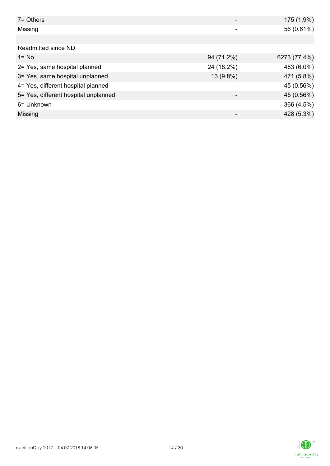| $7 =$ Others                         |            | 175 (1.9%)   |
|--------------------------------------|------------|--------------|
| Missing                              |            | 56 (0.61%)   |
|                                      |            |              |
| Readmitted since ND                  |            |              |
| $1 = No$                             | 94 (71.2%) | 6273 (77.4%) |
| 2= Yes, same hospital planned        | 24 (18.2%) | 483 (6.0%)   |
| 3= Yes, same hospital unplanned      | 13 (9.8%)  | 471 (5.8%)   |
| 4= Yes, different hospital planned   |            | 45 (0.56%)   |
| 5= Yes, different hospital unplanned |            | 45 (0.56%)   |
| 6= Unknown                           |            | 366 (4.5%)   |
| Missing                              |            | 428 (5.3%)   |

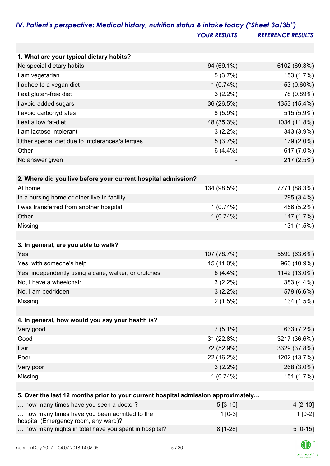|                                                                                      | <b>YOUR RESULTS</b> | <b>REFERENCE RESULTS</b> |
|--------------------------------------------------------------------------------------|---------------------|--------------------------|
|                                                                                      |                     |                          |
| 1. What are your typical dietary habits?                                             |                     |                          |
| No special dietary habits                                                            | 94 (69.1%)          | 6102 (69.3%)             |
| I am vegetarian                                                                      | 5(3.7%)             | 153 (1.7%)               |
| I adhee to a vegan diet                                                              | $1(0.74\%)$         | 53 (0.60%)               |
| I eat gluten-free diet                                                               | $3(2.2\%)$          | 78 (0.89%)               |
| I avoid added sugars                                                                 | 36 (26.5%)          | 1353 (15.4%)             |
| I avoid carbohydrates                                                                | $8(5.9\%)$          | 515 (5.9%)               |
| I eat a low fat-diet                                                                 | 48 (35.3%)          | 1034 (11.8%)             |
| I am lactose intolerant                                                              | $3(2.2\%)$          | 343 (3.9%)               |
| Other special diet due to intolerances/allergies                                     | 5(3.7%)             | 179 (2.0%)               |
| Other                                                                                | $6(4.4\%)$          | 617 (7.0%)               |
| No answer given                                                                      |                     | 217 (2.5%)               |
|                                                                                      |                     |                          |
| 2. Where did you live before your current hospital admission?                        |                     |                          |
| At home                                                                              | 134 (98.5%)         | 7771 (88.3%)             |
| In a nursing home or other live-in facility                                          |                     | 295 (3.4%)               |
| I was transferred from another hospital                                              | 1(0.74%)            | 456 (5.2%)               |
| Other                                                                                | 1(0.74%)            | 147 (1.7%)               |
| Missing                                                                              |                     | 131 (1.5%)               |
|                                                                                      |                     |                          |
| 3. In general, are you able to walk?                                                 |                     |                          |
| Yes                                                                                  | 107 (78.7%)         | 5599 (63.6%)             |
| Yes, with someone's help                                                             | 15 (11.0%)          | 963 (10.9%)              |
| Yes, independently using a cane, walker, or crutches                                 | $6(4.4\%)$          | 1142 (13.0%)             |
| No, I have a wheelchair                                                              | $3(2.2\%)$          | 383 (4.4%)               |
| No, I am bedridden                                                                   | $3(2.2\%)$          | 579 (6.6%)               |
| Missing                                                                              | $2(1.5\%)$          | 134 (1.5%)               |
|                                                                                      |                     |                          |
| 4. In general, how would you say your health is?                                     |                     |                          |
| Very good                                                                            | $7(5.1\%)$          | 633 (7.2%)               |
| Good                                                                                 | 31 (22.8%)          | 3217 (36.6%)             |
| Fair                                                                                 | 72 (52.9%)          | 3329 (37.8%)             |
| Poor                                                                                 | 22 (16.2%)          | 1202 (13.7%)             |
| Very poor                                                                            | $3(2.2\%)$          | 268 (3.0%)               |
| Missing                                                                              | 1(0.74%)            | 151 (1.7%)               |
|                                                                                      |                     |                          |
| 5. Over the last 12 months prior to your current hospital admission approximately    |                     |                          |
| how many times have you seen a doctor?                                               | $5[3-10]$           | $4[2-10]$                |
| how many times have you been admitted to the<br>hospital (Emergency room, any ward)? | $1[0-3]$            | $1[0-2]$                 |
| how many nights in total have you spent in hospital?                                 | 8 [1-28]            | $5[0-15]$                |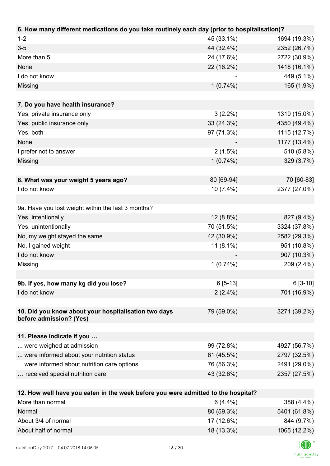| 6. How many different medications do you take routinely each day (prior to hospitalisation)? |             |              |
|----------------------------------------------------------------------------------------------|-------------|--------------|
| $1 - 2$                                                                                      | 45 (33.1%)  | 1694 (19.3%) |
| $3-5$                                                                                        | 44 (32.4%)  | 2352 (26.7%) |
| More than 5                                                                                  | 24 (17.6%)  | 2722 (30.9%) |
| None                                                                                         | 22 (16.2%)  | 1418 (16.1%) |
| I do not know                                                                                |             | 449 (5.1%)   |
| Missing                                                                                      | $1(0.74\%)$ | 165 (1.9%)   |
|                                                                                              |             |              |
| 7. Do you have health insurance?                                                             |             |              |
| Yes, private insurance only                                                                  | $3(2.2\%)$  | 1319 (15.0%) |
| Yes, public insurance only                                                                   | 33 (24.3%)  | 4350 (49.4%) |
| Yes, both                                                                                    | 97 (71.3%)  | 1115 (12.7%) |
| None                                                                                         |             | 1177 (13.4%) |
| I prefer not to answer                                                                       | 2(1.5%)     | 510 (5.8%)   |
| Missing                                                                                      | 1(0.74%)    | 329 (3.7%)   |
|                                                                                              |             |              |
| 8. What was your weight 5 years ago?                                                         | 80 [69-94]  | 70 [60-83]   |
| I do not know                                                                                | 10 (7.4%)   | 2377 (27.0%) |
|                                                                                              |             |              |
| 9a. Have you lost weight within the last 3 months?                                           |             |              |
| Yes, intentionally                                                                           | 12 (8.8%)   | 827 (9.4%)   |
| Yes, unintentionally                                                                         | 70 (51.5%)  | 3324 (37.8%) |
| No, my weight stayed the same                                                                | 42 (30.9%)  | 2582 (29.3%) |
| No, I gained weight                                                                          | $11(8.1\%)$ | 951 (10.8%)  |
| I do not know                                                                                |             | 907 (10.3%)  |
| Missing                                                                                      | $1(0.74\%)$ | 209 (2.4%)   |
|                                                                                              |             |              |
| 9b. If yes, how many kg did you lose?                                                        | $6[5-13]$   | $6[3-10]$    |
| I do not know                                                                                | $2(2.4\%)$  | 701 (16.9%)  |
|                                                                                              |             |              |
| 10. Did you know about your hospitalisation two days                                         | 79 (59.0%)  | 3271 (39.2%) |
| before admission? (Yes)                                                                      |             |              |
|                                                                                              |             |              |
| 11. Please indicate if you                                                                   |             |              |
| were weighed at admission                                                                    | 99 (72.8%)  | 4927 (56.7%) |
| were informed about your nutrition status                                                    | 61 (45.5%)  | 2797 (32.5%) |
| were informed about nutrition care options                                                   | 76 (56.3%)  | 2491 (29.0%) |
| received special nutrition care                                                              | 43 (32.6%)  | 2357 (27.5%) |
|                                                                                              |             |              |
| 12. How well have you eaten in the week before you were admitted to the hospital?            |             |              |
| More than normal                                                                             | $6(4.4\%)$  | 388 (4.4%)   |

| More than normal     | $6(4.4\%)$ | 388 (4.4%)   |
|----------------------|------------|--------------|
| Normal               | 80 (59.3%) | 5401 (61.8%) |
| About 3/4 of normal  | 17 (12.6%) | 844 (9.7%)   |
| About half of normal | 18 (13.3%) | 1065 (12.2%) |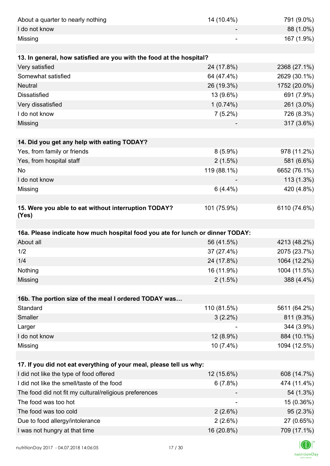| About a quarter to nearly nothing                                              | 14 (10.4%)  | 791 (9.0%)   |
|--------------------------------------------------------------------------------|-------------|--------------|
| I do not know                                                                  |             | 88 (1.0%)    |
| Missing                                                                        |             | 167 (1.9%)   |
|                                                                                |             |              |
| 13. In general, how satisfied are you with the food at the hospital?           |             |              |
| Very satisfied                                                                 | 24 (17.8%)  | 2368 (27.1%) |
| Somewhat satisfied                                                             | 64 (47.4%)  | 2629 (30.1%) |
| <b>Neutral</b>                                                                 | 26 (19.3%)  | 1752 (20.0%) |
| <b>Dissatisfied</b>                                                            | 13 (9.6%)   | 691 (7.9%)   |
| Very dissatisfied                                                              | $1(0.74\%)$ | 261 (3.0%)   |
| I do not know                                                                  | $7(5.2\%)$  | 726 (8.3%)   |
| Missing                                                                        |             | 317 (3.6%)   |
|                                                                                |             |              |
| 14. Did you get any help with eating TODAY?                                    |             |              |
| Yes, from family or friends                                                    | $8(5.9\%)$  | 978 (11.2%)  |
| Yes, from hospital staff                                                       | $2(1.5\%)$  | 581 (6.6%)   |
| <b>No</b>                                                                      | 119 (88.1%) | 6652 (76.1%) |
| I do not know                                                                  |             | 113 (1.3%)   |
| Missing                                                                        | $6(4.4\%)$  | 420 (4.8%)   |
|                                                                                |             |              |
| 15. Were you able to eat without interruption TODAY?<br>(Yes)                  | 101 (75.9%) | 6110 (74.6%) |
|                                                                                |             |              |
| 16a. Please indicate how much hospital food you ate for lunch or dinner TODAY: |             |              |
| About all                                                                      | 56 (41.5%)  | 4213 (48.2%) |
|                                                                                |             |              |
| 1/2                                                                            | 37 (27.4%)  | 2075 (23.7%) |
| 1/4                                                                            | 24 (17.8%)  | 1064 (12.2%) |
| Nothing                                                                        | 16 (11.9%)  | 1004 (11.5%) |
| Missing                                                                        | $2(1.5\%)$  | 388 (4.4%)   |
|                                                                                |             |              |
| 16b. The portion size of the meal I ordered TODAY was                          |             |              |
| Standard                                                                       | 110 (81.5%) | 5611 (64.2%) |
| Smaller                                                                        | $3(2.2\%)$  | 811 (9.3%)   |
| Larger                                                                         |             | 344 (3.9%)   |
| I do not know                                                                  | 12 (8.9%)   | 884 (10.1%)  |
| Missing                                                                        | 10 (7.4%)   | 1094 (12.5%) |
| 17. If you did not eat everything of your meal, please tell us why:            |             |              |
| I did not like the type of food offered                                        | 12 (15.6%)  | 608 (14.7%)  |
| I did not like the smell/taste of the food                                     | 6(7.8%)     | 474 (11.4%)  |
| The food did not fit my cultural/religious preferences                         |             | 54 (1.3%)    |
| The food was too hot                                                           |             | 15 (0.36%)   |
| The food was too cold                                                          | 2(2.6%)     | 95 (2.3%)    |
| Due to food allergy/intolerance                                                | 2(2.6%)     | 27 (0.65%)   |
| I was not hungry at that time                                                  | 16 (20.8%)  | 709 (17.1%)  |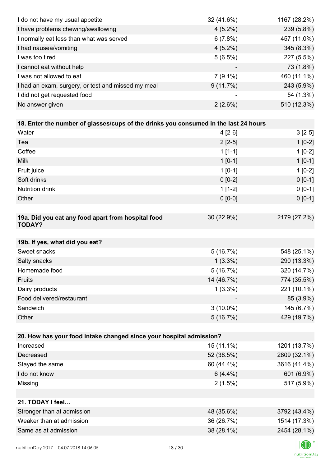| I do not have my usual appetite                                                      | 32 (41.6%)  | 1167 (28.2%) |
|--------------------------------------------------------------------------------------|-------------|--------------|
| I have problems chewing/swallowing                                                   | $4(5.2\%)$  | 239 (5.8%)   |
| I normally eat less than what was served                                             | 6(7.8%)     | 457 (11.0%)  |
| I had nausea/vomiting                                                                | $4(5.2\%)$  | 345 (8.3%)   |
| I was too tired                                                                      | 5(6.5%)     | 227 (5.5%)   |
| I cannot eat without help                                                            |             | 73 (1.8%)    |
| I was not allowed to eat                                                             | $7(9.1\%)$  | 460 (11.1%)  |
| I had an exam, surgery, or test and missed my meal                                   | 9(11.7%)    | 243 (5.9%)   |
| I did not get requested food                                                         |             | 54 (1.3%)    |
| No answer given                                                                      | 2(2.6%)     | 510 (12.3%)  |
|                                                                                      |             |              |
| 18. Enter the number of glasses/cups of the drinks you consumed in the last 24 hours |             |              |
| Water                                                                                | $4[2-6]$    | $3[2-5]$     |
| Tea                                                                                  | $2[2-5]$    | $1[0-2]$     |
| Coffee                                                                               | $1[1-1]$    | $1[0-2]$     |
| <b>Milk</b>                                                                          | $1 [0-1]$   | $1[0-1]$     |
| Fruit juice                                                                          | $1[0-1]$    | $1[0-2]$     |
| Soft drinks                                                                          | $0[0-2]$    | $0[0-1]$     |
| <b>Nutrition drink</b>                                                               | $1[1-2]$    | $0 [0-1]$    |
| Other                                                                                | $0 [0-0]$   | $0 [0-1]$    |
|                                                                                      |             |              |
| 19a. Did you eat any food apart from hospital food<br><b>TODAY?</b>                  | 30 (22.9%)  | 2179 (27.2%) |
| 19b. If yes, what did you eat?                                                       |             |              |
| Sweet snacks                                                                         | 5(16.7%)    | 548 (25.1%)  |
| Salty snacks                                                                         | $1(3.3\%)$  | 290 (13.3%)  |
| Homemade food                                                                        | 5(16.7%)    | 320 (14.7%)  |
| Fruits                                                                               | 14 (46.7%)  | 774 (35.5%)  |
| Dairy products                                                                       | $1(3.3\%)$  | 221 (10.1%)  |
| Food delivered/restaurant                                                            |             | 85 (3.9%)    |
| Sandwich                                                                             | $3(10.0\%)$ | 145 (6.7%)   |
| Other                                                                                | 5(16.7%)    | 429 (19.7%)  |
|                                                                                      |             |              |
| 20. How has your food intake changed since your hospital admission?                  |             |              |
| Increased                                                                            | 15 (11.1%)  | 1201 (13.7%) |
| Decreased                                                                            | 52 (38.5%)  | 2809 (32.1%) |
| Stayed the same                                                                      | 60 (44.4%)  | 3616 (41.4%) |
| I do not know                                                                        | $6(4.4\%)$  | 601 (6.9%)   |
| Missing                                                                              | 2(1.5%)     | 517 (5.9%)   |
|                                                                                      |             |              |
| 21. TODAY I feel                                                                     |             |              |
| Stronger than at admission                                                           | 48 (35.6%)  | 3792 (43.4%) |
| Weaker than at admission                                                             | 36 (26.7%)  | 1514 (17.3%) |
| Same as at admission                                                                 | 38 (28.1%)  | 2454 (28.1%) |
|                                                                                      |             |              |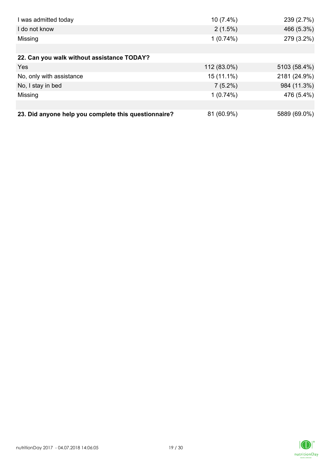| I was admitted today                                 | $10(7.4\%)$  | 239 (2.7%)   |
|------------------------------------------------------|--------------|--------------|
| I do not know                                        | $2(1.5\%)$   | 466 (5.3%)   |
| Missing                                              | $1(0.74\%)$  | 279 (3.2%)   |
|                                                      |              |              |
| 22. Can you walk without assistance TODAY?           |              |              |
| Yes                                                  | 112 (83.0%)  | 5103 (58.4%) |
| No, only with assistance                             | $15(11.1\%)$ | 2181 (24.9%) |
| No, I stay in bed                                    | $7(5.2\%)$   | 984 (11.3%)  |
| Missing                                              | $1(0.74\%)$  | 476 (5.4%)   |
|                                                      |              |              |
| 23. Did anyone help you complete this questionnaire? | 81 (60.9%)   | 5889 (69.0%) |

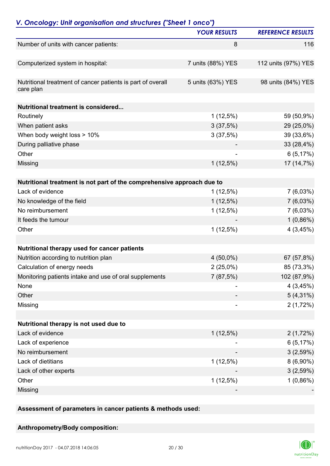| V. Oncology: Unit organisation and structures ("Sheet 1 onco")                             |                     |                          |
|--------------------------------------------------------------------------------------------|---------------------|--------------------------|
|                                                                                            | <b>YOUR RESULTS</b> | <b>REFERENCE RESULTS</b> |
| Number of units with cancer patients:                                                      | 8                   | 116                      |
| Computerized system in hospital:                                                           | 7 units (88%) YES   | 112 units (97%) YES      |
| Nutritional treatment of cancer patients is part of overall<br>care plan                   | 5 units (63%) YES   | 98 units (84%) YES       |
| <b>Nutritional treatment is considered</b>                                                 |                     |                          |
| Routinely                                                                                  | $1(12,5\%)$         | 59 (50,9%)               |
| When patient asks                                                                          | 3(37,5%)            | 29 (25,0%)               |
| When body weight loss > 10%                                                                | 3(37,5%)            | 39 (33,6%)               |
| During palliative phase                                                                    |                     | 33 (28,4%)               |
| Other                                                                                      |                     | 6(5,17%)                 |
| Missing                                                                                    | $1(12,5\%)$         | 17 (14,7%)               |
|                                                                                            |                     |                          |
| Nutritional treatment is not part of the comprehensive approach due to<br>Lack of evidence |                     |                          |
|                                                                                            | $1(12,5\%)$         | $7(6,03\%)$              |
| No knowledge of the field<br>No reimbursement                                              | $1(12,5\%)$         | 7(6,03%)                 |
|                                                                                            | $1(12,5\%)$         | $7(6,03\%)$              |
| It feeds the tumour                                                                        |                     | $1(0,86\%)$              |
| Other                                                                                      | $1(12,5\%)$         | 4(3,45%)                 |
| Nutritional therapy used for cancer patients                                               |                     |                          |
| Nutrition according to nutrition plan                                                      | $4(50,0\%)$         | 67 (57,8%)               |
| Calculation of energy needs                                                                | 2(25,0%)            | 85 (73,3%)               |
| Monitoring patients intake and use of oral supplements                                     | 7(87,5%)            | 102 (87,9%)              |
| None                                                                                       |                     | 4(3,45%)                 |
| Other                                                                                      |                     | $5(4,31\%)$              |
| Missing                                                                                    |                     | 2(1,72%)                 |
| Nutritional therapy is not used due to                                                     |                     |                          |
| Lack of evidence                                                                           | $1(12,5\%)$         | 2(1,72%)                 |
| Lack of experience                                                                         |                     | 6(5,17%)                 |
| No reimbursement                                                                           |                     | 3(2,59%)                 |
| Lack of dietitians                                                                         | $1(12,5\%)$         | $8(6,90\%)$              |
| Lack of other experts                                                                      |                     | 3(2,59%)                 |
| Other                                                                                      | $1(12,5\%)$         | 1(0,86%)                 |
| Missing                                                                                    |                     |                          |

**Assessment of parameters in cancer patients & methods used:**

### **Anthropometry/Body composition:**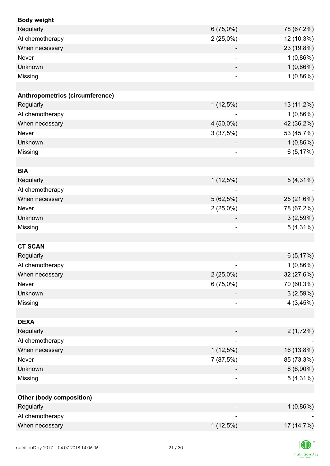| <b>Body weight</b>              |                              |             |
|---------------------------------|------------------------------|-------------|
| Regularly                       | 6(75,0%)                     | 78 (67,2%)  |
| At chemotherapy                 | $2(25,0\%)$                  | 12 (10,3%)  |
| When necessary                  |                              | 23 (19,8%)  |
| Never                           |                              | 1(0,86%)    |
| Unknown                         |                              | 1(0,86%)    |
| Missing                         | $\overline{\phantom{0}}$     | 1(0,86%)    |
|                                 |                              |             |
| Anthropometrics (circumference) |                              |             |
| Regularly                       | $1(12,5\%)$                  | 13 (11,2%)  |
| At chemotherapy                 |                              | $1(0,86\%)$ |
| When necessary                  | 4 (50,0%)                    | 42 (36,2%)  |
| Never                           | 3(37,5%)                     | 53 (45,7%)  |
| Unknown                         |                              | 1(0,86%)    |
| Missing                         | ۰                            | 6(5,17%)    |
|                                 |                              |             |
| <b>BIA</b>                      |                              |             |
| Regularly                       | $1(12,5\%)$                  | $5(4,31\%)$ |
| At chemotherapy                 |                              |             |
| When necessary                  | 5(62,5%)                     | 25 (21,6%)  |
| Never                           | $2(25,0\%)$                  | 78 (67,2%)  |
| Unknown                         |                              | 3(2,59%)    |
| Missing                         | $\qquad \qquad \blacksquare$ | $5(4,31\%)$ |
|                                 |                              |             |
| <b>CT SCAN</b>                  |                              |             |
| Regularly                       |                              | 6(5,17%)    |
| At chemotherapy                 |                              | 1(0,86%)    |
| When necessary                  | $2(25,0\%)$                  | 32 (27,6%)  |
| <b>Never</b>                    | 6(75,0%)                     | 70 (60,3%)  |
| Unknown                         |                              | 3(2,59%)    |
| Missing                         |                              | 4(3,45%)    |
|                                 |                              |             |
| <b>DEXA</b>                     |                              |             |
| Regularly                       |                              | 2(1,72%)    |
| At chemotherapy                 |                              |             |
| When necessary                  | $1(12,5\%)$                  | 16 (13,8%)  |
| Never                           | 7(87,5%)                     | 85 (73,3%)  |
| Unknown                         |                              | $8(6,90\%)$ |
| Missing                         | $\overline{\phantom{0}}$     | $5(4,31\%)$ |
|                                 |                              |             |
| Other (body composition)        |                              |             |
| Regularly                       |                              | $1(0,86\%)$ |
| At chemotherapy                 |                              |             |
| When necessary                  | $1(12,5\%)$                  | 17 (14,7%)  |
|                                 |                              |             |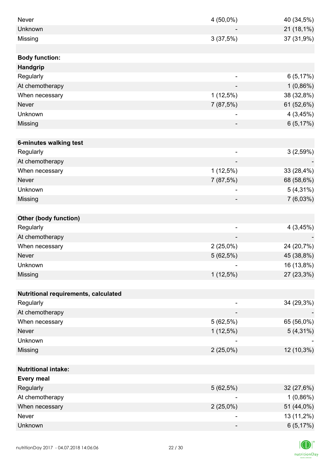| <b>Never</b>                         | 4 (50,0%)                | 40 (34,5%)  |
|--------------------------------------|--------------------------|-------------|
| Unknown                              |                          | 21 (18,1%)  |
| Missing                              | 3(37,5%)                 | 37 (31,9%)  |
|                                      |                          |             |
| <b>Body function:</b>                |                          |             |
| Handgrip                             |                          |             |
| Regularly                            |                          | 6(5,17%)    |
| At chemotherapy                      |                          | 1(0,86%)    |
| When necessary                       | $1(12,5\%)$              | 38 (32,8%)  |
| <b>Never</b>                         | 7 (87,5%)                | 61 (52,6%)  |
| Unknown                              | ٠                        | 4(3,45%)    |
| Missing                              |                          | 6(5,17%)    |
|                                      |                          |             |
| 6-minutes walking test               |                          |             |
| Regularly                            | $\overline{\phantom{a}}$ | 3(2,59%)    |
| At chemotherapy                      | $\overline{\phantom{a}}$ |             |
| When necessary                       | $1(12,5\%)$              | 33 (28,4%)  |
| <b>Never</b>                         | 7 (87,5%)                | 68 (58,6%)  |
| Unknown                              |                          | $5(4,31\%)$ |
| Missing                              |                          | 7(6,03%)    |
|                                      |                          |             |
| <b>Other (body function)</b>         |                          |             |
| Regularly                            | $\overline{\phantom{a}}$ | 4(3,45%)    |
| At chemotherapy                      |                          |             |
| When necessary                       | $2(25,0\%)$              | 24 (20,7%)  |
| <b>Never</b>                         | 5(62,5%)                 | 45 (38,8%)  |
| Unknown                              |                          | 16 (13,8%)  |
| Missing                              | $1(12,5\%)$              | 27 (23,3%)  |
|                                      |                          |             |
| Nutritional requirements, calculated |                          |             |
| Regularly                            |                          | 34 (29,3%)  |
| At chemotherapy                      |                          |             |
| When necessary                       | 5(62,5%)                 | 65 (56,0%)  |
| <b>Never</b>                         | $1(12,5\%)$              | $5(4,31\%)$ |
| Unknown                              |                          |             |
| Missing                              | $2(25,0\%)$              | 12 (10,3%)  |
|                                      |                          |             |
| <b>Nutritional intake:</b>           |                          |             |
| <b>Every meal</b>                    |                          |             |
| Regularly                            | 5(62,5%)                 | 32 (27,6%)  |
| At chemotherapy                      | $\overline{\phantom{a}}$ | $1(0,86\%)$ |
| When necessary                       | $2(25,0\%)$              | 51 (44,0%)  |
| Never                                | $\overline{a}$           | 13 (11,2%)  |
| Unknown                              |                          | 6(5,17%)    |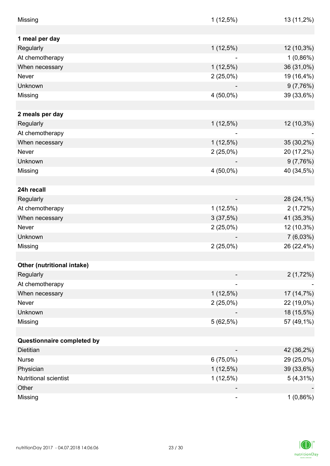| Missing                    | $1(12,5\%)$    | 13 (11,2%)  |
|----------------------------|----------------|-------------|
|                            |                |             |
| 1 meal per day             |                |             |
| Regularly                  | $1(12,5\%)$    | 12 (10,3%)  |
| At chemotherapy            |                | $1(0,86\%)$ |
| When necessary             | $1(12,5\%)$    | 36 (31,0%)  |
| Never                      | $2(25,0\%)$    | 19 (16,4%)  |
| Unknown                    |                | 9(7,76%)    |
| Missing                    | $4(50,0\%)$    | 39 (33,6%)  |
|                            |                |             |
| 2 meals per day            |                |             |
| Regularly                  | $1(12,5\%)$    | 12 (10,3%)  |
| At chemotherapy            |                |             |
| When necessary             | $1(12,5\%)$    | 35 (30,2%)  |
| Never                      | $2(25,0\%)$    | 20 (17,2%)  |
| Unknown                    |                | 9(7,76%)    |
| Missing                    | 4 (50,0%)      | 40 (34,5%)  |
|                            |                |             |
| 24h recall                 |                |             |
| Regularly                  |                | 28 (24,1%)  |
| At chemotherapy            | $1(12,5\%)$    | 2(1,72%)    |
| When necessary             | 3(37,5%)       | 41 (35,3%)  |
| Never                      | $2(25,0\%)$    | 12 (10,3%)  |
| Unknown                    |                | $7(6,03\%)$ |
| Missing                    | $2(25,0\%)$    | 26 (22,4%)  |
|                            |                |             |
| Other (nutritional intake) |                |             |
| Regularly                  |                | 2(1,72%)    |
| At chemotherapy            |                |             |
| When necessary             | $1(12,5\%)$    | 17 (14,7%)  |
| Never                      | $2(25,0\%)$    | 22 (19,0%)  |
| Unknown                    |                | 18 (15,5%)  |
| Missing                    | 5(62,5%)       | 57 (49,1%)  |
|                            |                |             |
| Questionnaire completed by |                |             |
| Dietitian                  |                | 42 (36,2%)  |
| <b>Nurse</b>               | 6(75,0%)       | 29 (25,0%)  |
| Physician                  | $1(12,5\%)$    | 39 (33,6%)  |
| Nutritional scientist      | $1(12,5\%)$    | $5(4,31\%)$ |
| Other                      |                |             |
| Missing                    | $\overline{a}$ | $1(0,86\%)$ |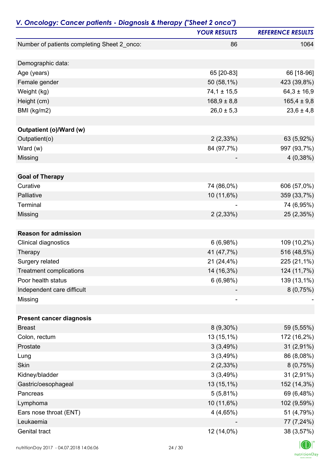| V. Oncology: Cancer patients - Diagnosis & therapy ("Sheet 2 onco") |                     |                          |
|---------------------------------------------------------------------|---------------------|--------------------------|
|                                                                     | <b>YOUR RESULTS</b> | <b>REFERENCE RESULTS</b> |
| Number of patients completing Sheet 2_onco:                         | 86                  | 1064                     |
| Demographic data:                                                   |                     |                          |
| Age (years)                                                         | 65 [20-83]          | 66 [18-96]               |
| Female gender                                                       | 50 (58,1%)          | 423 (39,8%)              |
| Weight (kg)                                                         | $74,1 \pm 15,5$     | $64,3 \pm 16,9$          |
| Height (cm)                                                         | $168,9 \pm 8,8$     | $165,4 \pm 9,8$          |
| BMI (kg/m2)                                                         | $26,0 \pm 5,3$      | $23,6 \pm 4,8$           |
|                                                                     |                     |                          |
| Outpatient (o)/Ward (w)                                             |                     |                          |
| Outpatient(o)                                                       | 2(2,33%)            | 63 (5,92%)               |
| Ward $(w)$                                                          | 84 (97,7%)          | 997 (93,7%)              |
| Missing                                                             |                     | 4(0,38%)                 |
|                                                                     |                     |                          |
| <b>Goal of Therapy</b>                                              |                     |                          |
| Curative                                                            | 74 (86,0%)          | 606 (57,0%)              |
| Palliative                                                          | 10 (11,6%)          | 359 (33,7%)              |
| Terminal                                                            |                     | 74 (6,95%)               |
| Missing                                                             | 2(2,33%)            | 25 (2,35%)               |
| <b>Reason for admission</b>                                         |                     |                          |
| Clinical diagnostics                                                | 6(6,98%)            | 109 (10,2%)              |
| Therapy                                                             | 41 (47,7%)          | 516 (48,5%)              |
| Surgery related                                                     | 21 (24,4%)          | 225 (21,1%)              |
| <b>Treatment complications</b>                                      | 14 (16,3%)          | 124 (11,7%)              |
| Poor health status                                                  | 6(6,98%)            | 139 (13,1%)              |
| Independent care difficult                                          |                     | 8(0,75%)                 |
| Missing                                                             |                     |                          |
|                                                                     |                     |                          |
| <b>Present cancer diagnosis</b>                                     |                     |                          |
| <b>Breast</b>                                                       | $8(9,30\%)$         | 59 (5,55%)               |
| Colon, rectum                                                       | $13(15,1\%)$        | 172 (16,2%)              |
| Prostate                                                            | 3(3,49%)            | $31(2,91\%)$             |
| Lung                                                                | 3(3,49%)            | 86 (8,08%)               |
| Skin                                                                | 2(2,33%)            | 8(0,75%)                 |
| Kidney/bladder                                                      | 3(3,49%)            | 31 (2,91%)               |
| Gastric/oesophageal                                                 | 13 (15,1%)          | 152 (14,3%)              |
| Pancreas                                                            | 5(5,81%)            | 69 (6,48%)               |
| Lymphoma                                                            | 10 (11,6%)          | 102 (9,59%)              |
| Ears nose throat (ENT)                                              | 4(4,65%)            | 51 (4,79%)               |
| Leukaemia                                                           |                     | 77 (7,24%)               |
| Genital tract                                                       | 12 (14,0%)          | 38 (3,57%)               |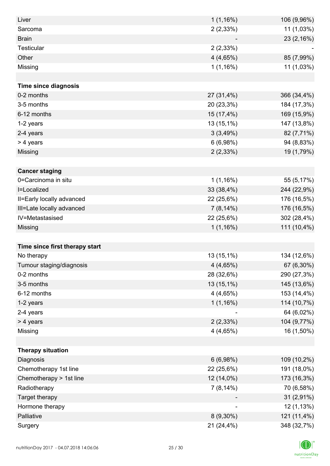| Liver                          | $1(1,16\%)$ | 106 (9,96%) |
|--------------------------------|-------------|-------------|
| Sarcoma                        | 2(2,33%)    | 11 (1,03%)  |
| <b>Brain</b>                   |             | 23 (2,16%)  |
| <b>Testicular</b>              | 2(2,33%)    |             |
| Other                          | 4(4,65%)    | 85 (7,99%)  |
| Missing                        | 1(1,16%)    | 11 (1,03%)  |
|                                |             |             |
| <b>Time since diagnosis</b>    |             |             |
| 0-2 months                     | 27 (31,4%)  | 366 (34,4%) |
| 3-5 months                     | 20 (23,3%)  | 184 (17,3%) |
| 6-12 months                    | 15 (17,4%)  | 169 (15,9%) |
| 1-2 years                      | 13 (15,1%)  | 147 (13,8%) |
| 2-4 years                      | 3(3,49%)    | 82 (7,71%)  |
| > 4 years                      | 6(6,98%)    | 94 (8,83%)  |
| Missing                        | 2(2,33%)    | 19 (1,79%)  |
|                                |             |             |
| <b>Cancer staging</b>          |             |             |
| 0=Carcinoma in situ            | 1(1,16%)    | 55 (5,17%)  |
| I=Localized                    | 33 (38,4%)  | 244 (22,9%) |
| II=Early locally advanced      | 22 (25,6%)  | 176 (16,5%) |
| III=Late locally advanced      | $7(8,14\%)$ | 176 (16,5%) |
| IV=Metastasised                | 22 (25,6%)  | 302 (28,4%) |
| Missing                        | 1(1,16%)    | 111 (10,4%) |
|                                |             |             |
| Time since first therapy start |             |             |
| No therapy                     | 13 (15,1%)  | 134 (12,6%) |
| Tumour staging/diagnosis       | 4 (4,65%)   | 67 (6,30%)  |
| 0-2 months                     | 28 (32,6%)  | 290 (27,3%) |
| 3-5 months                     | 13 (15,1%)  | 145 (13,6%) |
| 6-12 months                    | 4(4,65%)    | 153 (14,4%) |
| 1-2 years                      | 1(1,16%)    | 114 (10,7%) |
| 2-4 years                      |             | 64 (6,02%)  |
| > 4 years                      | 2(2,33%)    | 104 (9,77%) |
| Missing                        | 4(4,65%)    | 16 (1,50%)  |
|                                |             |             |
| <b>Therapy situation</b>       |             |             |
| Diagnosis                      | 6(6,98%)    | 109 (10,2%) |
| Chemotherapy 1st line          | 22 (25,6%)  | 191 (18,0%) |
| Chemotherapy > 1st line        | 12 (14,0%)  | 173 (16,3%) |
| Radiotherapy                   | $7(8,14\%)$ | 70 (6,58%)  |
| Target therapy                 |             | 31 (2,91%)  |
| Hormone therapy                |             | 12 (1,13%)  |
| Palliative                     | $8(9,30\%)$ | 121 (11,4%) |
| Surgery                        | 21 (24,4%)  | 348 (32,7%) |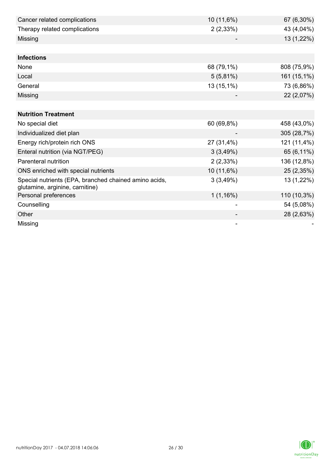| Cancer related complications                                                             | 10 (11,6%)  | 67 (6,30%)  |
|------------------------------------------------------------------------------------------|-------------|-------------|
| Therapy related complications                                                            | 2(2,33%)    | 43 (4,04%)  |
| Missing                                                                                  |             | 13 (1,22%)  |
|                                                                                          |             |             |
| <b>Infections</b>                                                                        |             |             |
| None                                                                                     | 68 (79,1%)  | 808 (75,9%) |
| Local                                                                                    | $5(5,81\%)$ | 161 (15,1%) |
| General                                                                                  | 13 (15,1%)  | 73 (6,86%)  |
| Missing                                                                                  |             | 22 (2,07%)  |
|                                                                                          |             |             |
| <b>Nutrition Treatment</b>                                                               |             |             |
| No special diet                                                                          | 60 (69,8%)  | 458 (43,0%) |
| Individualized diet plan                                                                 |             | 305 (28,7%) |
| Energy rich/protein rich ONS                                                             | 27 (31,4%)  | 121 (11,4%) |
| Enteral nutrition (via NGT/PEG)                                                          | 3(3,49%)    | 65 (6,11%)  |
| Parenteral nutrition                                                                     | 2(2,33%)    | 136 (12,8%) |
| ONS enriched with special nutrients                                                      | 10 (11,6%)  | 25 (2,35%)  |
| Special nutrients (EPA, branched chained amino acids,<br>glutamine, arginine, carnitine) | 3(3,49%)    | 13 (1,22%)  |
| Personal preferences                                                                     | 1(1,16%)    | 110 (10,3%) |
| Counselling                                                                              |             | 54 (5,08%)  |
| Other                                                                                    |             | 28 (2,63%)  |
| Missing                                                                                  |             |             |

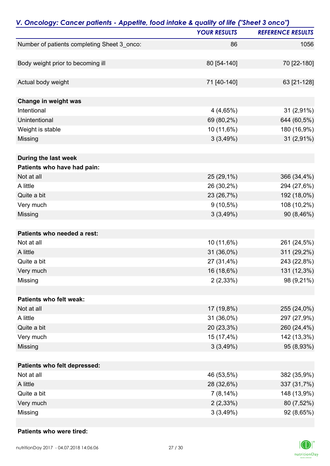| V. Oncology: Cancer patients - Appetite, food intake & quality of life ("Sheet 3 onco") |                     |                          |
|-----------------------------------------------------------------------------------------|---------------------|--------------------------|
|                                                                                         | <b>YOUR RESULTS</b> | <b>REFERENCE RESULTS</b> |
| Number of patients completing Sheet 3_onco:                                             | 86                  | 1056                     |
| Body weight prior to becoming ill                                                       | 80 [54-140]         | 70 [22-180]              |
|                                                                                         |                     |                          |
| Actual body weight                                                                      | 71 [40-140]         | 63 [21-128]              |
| Change in weight was                                                                    |                     |                          |
| Intentional                                                                             | 4(4,65%)            | 31 (2,91%)               |
| Unintentional                                                                           | 69 (80,2%)          | 644 (60,5%)              |
| Weight is stable                                                                        | 10 (11,6%)          | 180 (16,9%)              |
| Missing                                                                                 | 3(3,49%)            | 31 (2,91%)               |
| During the last week                                                                    |                     |                          |
| Patients who have had pain:                                                             |                     |                          |
| Not at all                                                                              | 25 (29,1%)          | 366 (34,4%)              |
| A little                                                                                | 26 (30,2%)          | 294 (27,6%)              |
| Quite a bit                                                                             | 23 (26,7%)          | 192 (18,0%)              |
| Very much                                                                               | $9(10,5\%)$         | 108 (10,2%)              |
| Missing                                                                                 | 3(3,49%)            | 90 (8,46%)               |
| Patients who needed a rest:                                                             |                     |                          |
| Not at all                                                                              | 10 (11,6%)          | 261 (24,5%)              |
| A little                                                                                | 31 (36,0%)          | 311 (29,2%)              |
| Quite a bit                                                                             | 27 (31,4%)          | 243 (22,8%)              |
| Very much                                                                               | 16 (18,6%)          | 131 (12,3%)              |
| Missing                                                                                 | 2(2,33%)            | 98 (9,21%)               |
| Patients who felt weak:                                                                 |                     |                          |
| Not at all                                                                              | 17 (19,8%)          | 255 (24,0%)              |
| A little                                                                                | 31 (36,0%)          | 297 (27,9%)              |
| Quite a bit                                                                             | 20 (23,3%)          | 260 (24,4%)              |
| Very much                                                                               | 15 (17,4%)          | 142 (13,3%)              |
| Missing                                                                                 | 3(3,49%)            | 95 (8,93%)               |
| Patients who felt depressed:                                                            |                     |                          |
| Not at all                                                                              | 46 (53,5%)          | 382 (35,9%)              |
| A little                                                                                | 28 (32,6%)          | 337 (31,7%)              |
| Quite a bit                                                                             | $7(8,14\%)$         | 148 (13,9%)              |
| Very much                                                                               | 2(2,33%)            | 80 (7,52%)               |
| Missing                                                                                 | 3(3,49%)            | 92 (8,65%)               |

#### **Patients who were tired:**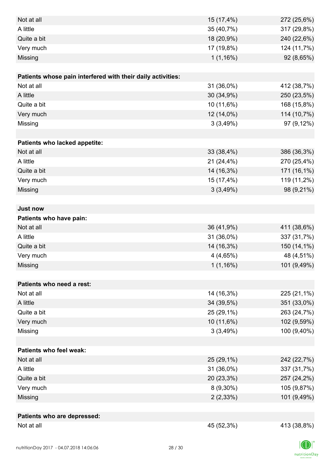| Not at all                                                  | 15 (17,4%)  | 272 (25,6%) |
|-------------------------------------------------------------|-------------|-------------|
| A little                                                    | 35 (40,7%)  | 317 (29,8%) |
| Quite a bit                                                 | 18 (20,9%)  | 240 (22,6%) |
| Very much                                                   | 17 (19,8%)  | 124 (11,7%) |
| Missing                                                     | 1(1,16%)    | 92 (8,65%)  |
|                                                             |             |             |
| Patients whose pain interfered with their daily activities: |             |             |
| Not at all                                                  | 31 (36,0%)  | 412 (38,7%) |
| A little                                                    | 30 (34,9%)  | 250 (23,5%) |
| Quite a bit                                                 | 10 (11,6%)  | 168 (15,8%) |
| Very much                                                   | 12 (14,0%)  | 114 (10,7%) |
| Missing                                                     | 3(3,49%)    | 97 (9,12%)  |
|                                                             |             |             |
| Patients who lacked appetite:                               |             |             |
| Not at all                                                  | 33 (38,4%)  | 386 (36,3%) |
| A little                                                    | 21 (24,4%)  | 270 (25,4%) |
| Quite a bit                                                 | 14 (16,3%)  | 171 (16,1%) |
| Very much                                                   | 15 (17,4%)  | 119 (11,2%) |
| Missing                                                     | 3(3,49%)    | 98 (9,21%)  |
|                                                             |             |             |
| <b>Just now</b>                                             |             |             |
| Patients who have pain:                                     |             |             |
| Not at all                                                  | 36 (41,9%)  | 411 (38,6%) |
| A little                                                    | 31 (36,0%)  | 337 (31,7%) |
| Quite a bit                                                 | 14 (16,3%)  | 150 (14,1%) |
| Very much                                                   | 4(4,65%)    | 48 (4,51%)  |
| Missing                                                     | 1(1,16%)    | 101 (9,49%) |
|                                                             |             |             |
| Patients who need a rest:                                   |             |             |
| Not at all                                                  | 14 (16,3%)  | 225 (21,1%) |
| A little                                                    | 34 (39,5%)  | 351 (33,0%) |
| Quite a bit                                                 | 25 (29,1%)  | 263 (24,7%) |
| Very much                                                   | 10 (11,6%)  | 102 (9,59%) |
| Missing                                                     | 3(3,49%)    | 100 (9,40%) |
|                                                             |             |             |
| <b>Patients who feel weak:</b>                              |             |             |
| Not at all                                                  | 25 (29,1%)  | 242 (22,7%) |
| A little                                                    | 31 (36,0%)  | 337 (31,7%) |
| Quite a bit                                                 | 20 (23,3%)  | 257 (24,2%) |
| Very much                                                   | $8(9,30\%)$ | 105 (9,87%) |
| Missing                                                     | $2(2,33\%)$ | 101 (9,49%) |
|                                                             |             |             |
| Patients who are depressed:                                 |             |             |
| Not at all                                                  | 45 (52,3%)  | 413 (38,8%) |

 $|D|$  $\label{eq:2} \mathsf{nutritionDay}$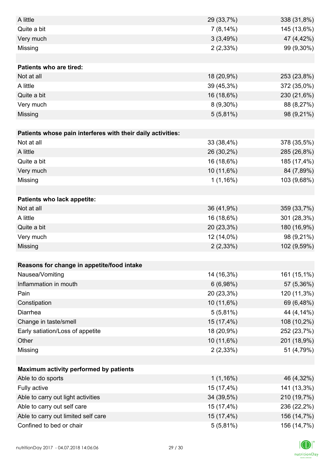| A little                                                    | 29 (33,7%)  | 338 (31,8%) |
|-------------------------------------------------------------|-------------|-------------|
| Quite a bit                                                 | $7(8,14\%)$ | 145 (13,6%) |
| Very much                                                   | 3(3,49%)    | 47 (4,42%)  |
| Missing                                                     | 2(2,33%)    | 99 (9,30%)  |
|                                                             |             |             |
| <b>Patients who are tired:</b>                              |             |             |
| Not at all                                                  | 18 (20,9%)  | 253 (23,8%) |
| A little                                                    | 39 (45,3%)  | 372 (35,0%) |
| Quite a bit                                                 | 16 (18,6%)  | 230 (21,6%) |
| Very much                                                   | $8(9,30\%)$ | 88 (8,27%)  |
| Missing                                                     | $5(5,81\%)$ | 98 (9,21%)  |
|                                                             |             |             |
| Patients whose pain interferes with their daily activities: |             |             |
| Not at all                                                  | 33 (38,4%)  | 378 (35,5%) |
| A little                                                    | 26 (30,2%)  | 285 (26,8%) |
| Quite a bit                                                 | 16 (18,6%)  | 185 (17,4%) |
| Very much                                                   | 10 (11,6%)  | 84 (7,89%)  |
| Missing                                                     | 1(1,16%)    | 103 (9,68%) |
|                                                             |             |             |
| Patients who lack appetite:                                 |             |             |
| Not at all                                                  | 36 (41,9%)  | 359 (33,7%) |
| A little                                                    | 16 (18,6%)  | 301 (28,3%) |
| Quite a bit                                                 | 20 (23,3%)  | 180 (16,9%) |
| Very much                                                   | 12 (14,0%)  | 98 (9,21%)  |
| Missing                                                     | $2(2,33\%)$ | 102 (9,59%) |
|                                                             |             |             |
| Reasons for change in appetite/food intake                  |             |             |
| Nausea/Vomiting                                             | 14 (16,3%)  | 161 (15,1%) |
| Inflammation in mouth                                       | 6(6,98%)    | 57 (5,36%)  |
| Pain                                                        | 20 (23,3%)  | 120 (11,3%) |
| Constipation                                                | 10 (11,6%)  | 69 (6,48%)  |
| Diarrhea                                                    | $5(5,81\%)$ | 44 (4,14%)  |
| Change in taste/smell                                       | 15 (17,4%)  | 108 (10,2%) |
| Early satiation/Loss of appetite                            | 18 (20,9%)  | 252 (23,7%) |
| Other                                                       | 10 (11,6%)  | 201 (18,9%) |
| Missing                                                     | 2(2,33%)    | 51 (4,79%)  |
|                                                             |             |             |
| Maximum activity performed by patients                      |             |             |
| Able to do sports                                           | 1(1,16%)    | 46 (4,32%)  |
| Fully active                                                | 15 (17,4%)  | 141 (13,3%) |
| Able to carry out light activities                          | 34 (39,5%)  | 210 (19,7%) |
| Able to carry out self care                                 | 15 (17,4%)  | 236 (22,2%) |
| Able to carry out limited self care                         | 15 (17,4%)  | 156 (14,7%) |
| Confined to bed or chair                                    | $5(5,81\%)$ | 156 (14,7%) |